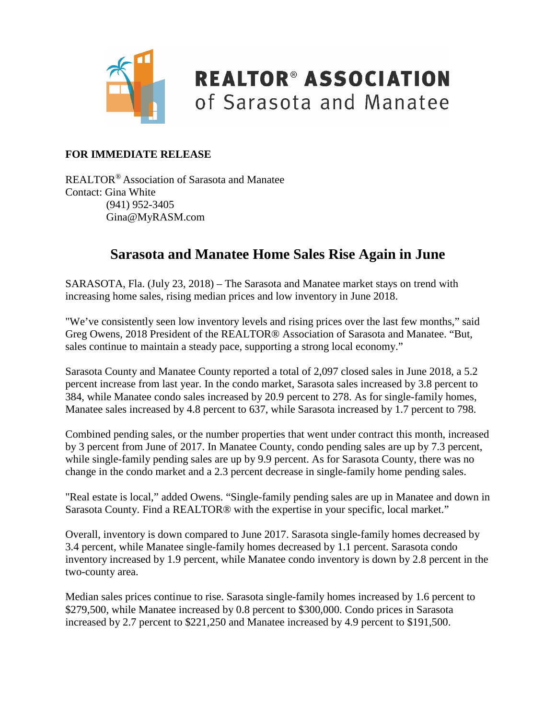

### **REALTOR® ASSOCIATION** of Sarasota and Manatee

#### **FOR IMMEDIATE RELEASE**

REALTOR® Association of Sarasota and Manatee Contact: Gina White (941) 952-3405 Gina@MyRASM.com

#### **Sarasota and Manatee Home Sales Rise Again in June**

SARASOTA, Fla. (July 23, 2018) – The Sarasota and Manatee market stays on trend with increasing home sales, rising median prices and low inventory in June 2018.

"We've consistently seen low inventory levels and rising prices over the last few months," said Greg Owens, 2018 President of the REALTOR® Association of Sarasota and Manatee. "But, sales continue to maintain a steady pace, supporting a strong local economy."

Sarasota County and Manatee County reported a total of 2,097 closed sales in June 2018, a 5.2 percent increase from last year. In the condo market, Sarasota sales increased by 3.8 percent to 384, while Manatee condo sales increased by 20.9 percent to 278. As for single-family homes, Manatee sales increased by 4.8 percent to 637, while Sarasota increased by 1.7 percent to 798.

Combined pending sales, or the number properties that went under contract this month, increased by 3 percent from June of 2017. In Manatee County, condo pending sales are up by 7.3 percent, while single-family pending sales are up by 9.9 percent. As for Sarasota County, there was no change in the condo market and a 2.3 percent decrease in single-family home pending sales.

"Real estate is local," added Owens. "Single-family pending sales are up in Manatee and down in Sarasota County. Find a REALTOR® with the expertise in your specific, local market."

Overall, inventory is down compared to June 2017. Sarasota single-family homes decreased by 3.4 percent, while Manatee single-family homes decreased by 1.1 percent. Sarasota condo inventory increased by 1.9 percent, while Manatee condo inventory is down by 2.8 percent in the two-county area.

Median sales prices continue to rise. Sarasota single-family homes increased by 1.6 percent to \$279,500, while Manatee increased by 0.8 percent to \$300,000. Condo prices in Sarasota increased by 2.7 percent to \$221,250 and Manatee increased by 4.9 percent to \$191,500.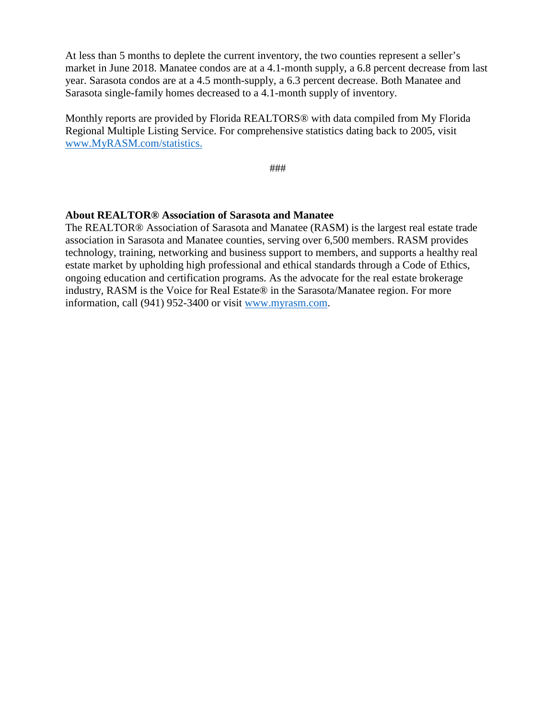At less than 5 months to deplete the current inventory, the two counties represent a seller's market in June 2018. Manatee condos are at a 4.1-month supply, a 6.8 percent decrease from last year. Sarasota condos are at a 4.5 month-supply, a 6.3 percent decrease. Both Manatee and Sarasota single-family homes decreased to a 4.1-month supply of inventory.

Monthly reports are provided by Florida REALTORS® with data compiled from My Florida Regional Multiple Listing Service. For comprehensive statistics dating back to 2005, visit [www.MyRASM.com/statistics.](http://www.myrasm.com/statistics)

###

#### **About REALTOR® Association of Sarasota and Manatee**

The REALTOR® Association of Sarasota and Manatee (RASM) is the largest real estate trade association in Sarasota and Manatee counties, serving over 6,500 members. RASM provides technology, training, networking and business support to members, and supports a healthy real estate market by upholding high professional and ethical standards through a Code of Ethics, ongoing education and certification programs. As the advocate for the real estate brokerage industry, RASM is the Voice for Real Estate® in the Sarasota/Manatee region. For more information, call (941) 952-3400 or visit [www.myrasm.com.](http://www.myrasm.com/)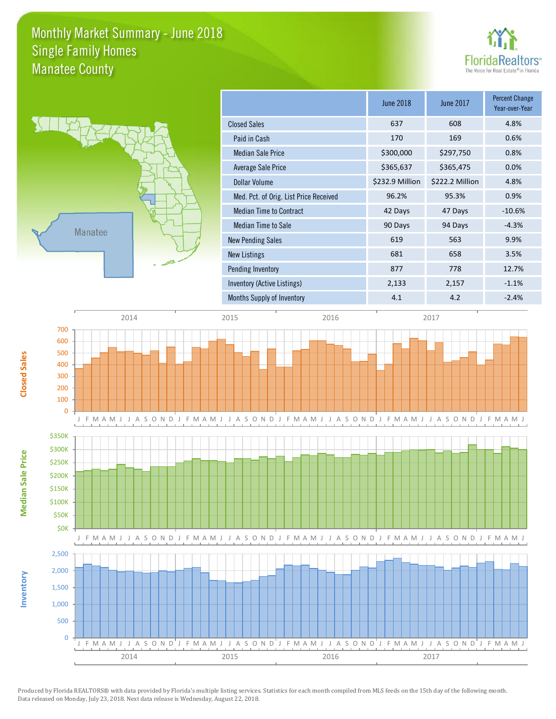### Monthly Market Summary - June 2018 Manatee County Single Family Homes





**Median Sale Price**

**Median Sale Price** 

**Closed Sales**

**Inventory**

|                                        | <b>June 2018</b> | <b>June 2017</b> | Percent Change<br>Year-over-Year |
|----------------------------------------|------------------|------------------|----------------------------------|
| <b>Closed Sales</b>                    | 637              | 608              | 4.8%                             |
| Paid in Cash                           | 170              | 169              | 0.6%                             |
| <b>Median Sale Price</b>               | \$300,000        | \$297,750        | 0.8%                             |
| Average Sale Price                     | \$365,637        | \$365,475        | 0.0%                             |
| Dollar Volume                          | \$232.9 Million  | \$222.2 Million  | 4.8%                             |
| Med. Pct. of Orig. List Price Received | 96.2%            | 95.3%            | 0.9%                             |
| <b>Median Time to Contract</b>         | 42 Days          | 47 Days          | $-10.6%$                         |
| Median Time to Sale                    | 90 Days          | 94 Days          | $-4.3%$                          |
| <b>New Pending Sales</b>               | 619              | 563              | 9.9%                             |
| <b>New Listings</b>                    | 681              | 658              | 3.5%                             |
| Pending Inventory                      | 877              | 778              | 12.7%                            |
| Inventory (Active Listings)            | 2,133            | 2,157            | $-1.1%$                          |
| Months Supply of Inventory             | 4.1              | 4.2              | $-2.4%$                          |

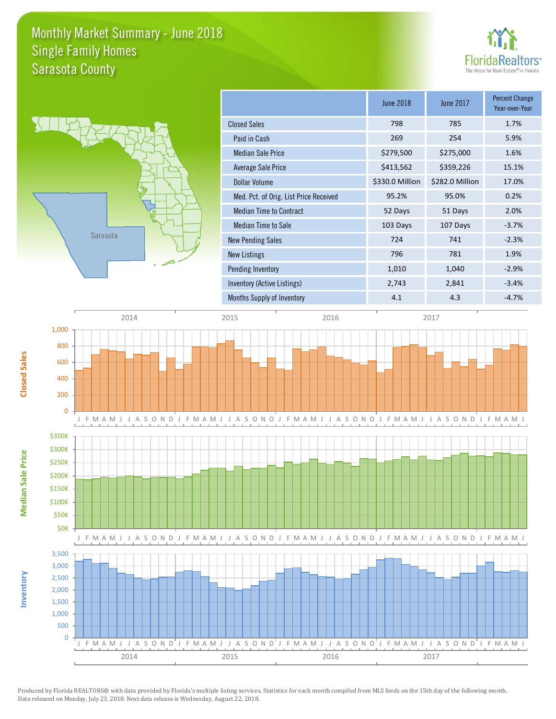### Monthly Market Summary - June 2018 Sarasota County Single Family Homes





**Median Sale Price**

Median Sale Price

**Closed Sales**

**Inventory**

|                                        | <b>June 2018</b> | June 2017       | <b>Percent Change</b><br>Year-over-Year |
|----------------------------------------|------------------|-----------------|-----------------------------------------|
| <b>Closed Sales</b>                    | 798              | 785             | 1.7%                                    |
| Paid in Cash                           | 269              | 254             | 5.9%                                    |
| <b>Median Sale Price</b>               | \$279,500        | \$275,000       | 1.6%                                    |
| Average Sale Price                     | \$413,562        | \$359,226       | 15.1%                                   |
| Dollar Volume                          | \$330.0 Million  | \$282.0 Million | 17.0%                                   |
| Med. Pct. of Orig. List Price Received | 95.2%            | 95.0%           | 0.2%                                    |
| <b>Median Time to Contract</b>         | 52 Days          | 51 Days         | 2.0%                                    |
| Median Time to Sale                    | 103 Days         | 107 Days        | $-3.7%$                                 |
| <b>New Pending Sales</b>               | 724              | 741             | $-2.3%$                                 |
| New Listings                           | 796              | 781             | 1.9%                                    |
| Pending Inventory                      | 1,010            | 1,040           | $-2.9%$                                 |
| Inventory (Active Listings)            | 2,743            | 2,841           | $-3.4%$                                 |
| Months Supply of Inventory             | 4.1              | 4.3             | $-4.7%$                                 |

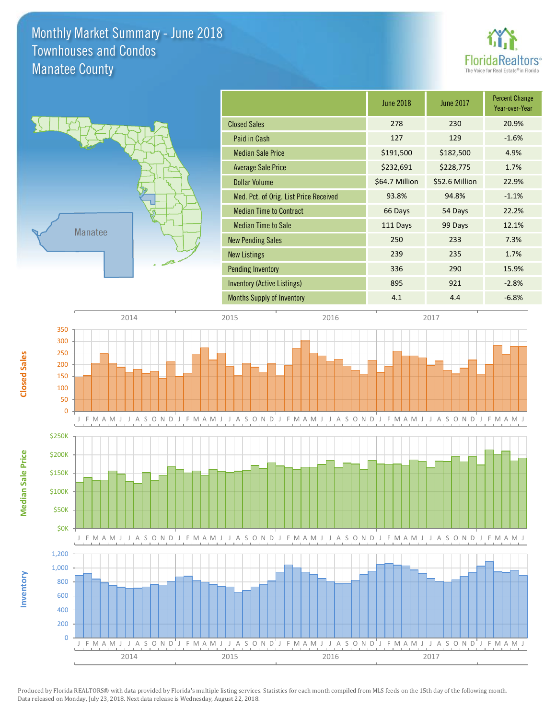### Monthly Market Summary - June 2018 Manatee County Townhouses and Condos





**Median Sale Price**

Median Sale Price

**Closed Sales**

**Inventory**

|                                        | <b>June 2018</b> | June 2017      | <b>Percent Change</b><br>Year-over-Year |
|----------------------------------------|------------------|----------------|-----------------------------------------|
| <b>Closed Sales</b>                    | 278              | 230            | 20.9%                                   |
| Paid in Cash                           | 127              | 129            | $-1.6%$                                 |
| <b>Median Sale Price</b>               | \$191,500        | \$182,500      | 4.9%                                    |
| <b>Average Sale Price</b>              | \$232,691        | \$228,775      | 1.7%                                    |
| <b>Dollar Volume</b>                   | \$64.7 Million   | \$52.6 Million | 22.9%                                   |
| Med. Pct. of Orig. List Price Received | 93.8%            | 94.8%          | $-1.1%$                                 |
| <b>Median Time to Contract</b>         | 66 Days          | 54 Days        | 22.2%                                   |
| <b>Median Time to Sale</b>             | 111 Days         | 99 Days        | 12.1%                                   |
| <b>New Pending Sales</b>               | 250              | 233            | 7.3%                                    |
| <b>New Listings</b>                    | 239              | 235            | 1.7%                                    |
| <b>Pending Inventory</b>               | 336              | 290            | 15.9%                                   |
| Inventory (Active Listings)            | 895              | 921            | $-2.8%$                                 |
| <b>Months Supply of Inventory</b>      | 4.1              | 4.4            | $-6.8%$                                 |
|                                        |                  |                |                                         |

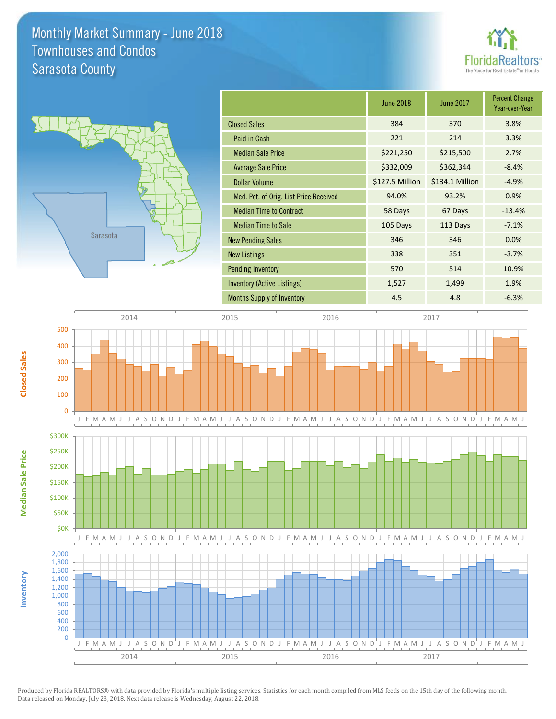### Monthly Market Summary - June 2018 Sarasota County Townhouses and Condos





**Median Sale Price**

**Median Sale Price** 

**Closed Sales**

**Inventory**

|                                        | <b>June 2018</b> | June 2017       | <b>Percent Change</b><br>Year-over-Year |
|----------------------------------------|------------------|-----------------|-----------------------------------------|
| <b>Closed Sales</b>                    | 384              | 370             | 3.8%                                    |
| Paid in Cash                           | 221              | 214             | 3.3%                                    |
| <b>Median Sale Price</b>               | \$221,250        | \$215,500       | 2.7%                                    |
| Average Sale Price                     | \$332,009        | \$362,344       | $-8.4%$                                 |
| Dollar Volume                          | \$127.5 Million  | \$134.1 Million | $-4.9%$                                 |
| Med. Pct. of Orig. List Price Received | 94.0%            | 93.2%           | 0.9%                                    |
| <b>Median Time to Contract</b>         | 58 Days          | 67 Days         | $-13.4%$                                |
| <b>Median Time to Sale</b>             | 105 Days         | 113 Days        | $-7.1%$                                 |
| <b>New Pending Sales</b>               | 346              | 346             | 0.0%                                    |
| <b>New Listings</b>                    | 338              | 351             | $-3.7%$                                 |
| <b>Pending Inventory</b>               | 570              | 514             | 10.9%                                   |
| Inventory (Active Listings)            | 1,527            | 1,499           | 1.9%                                    |
| <b>Months Supply of Inventory</b>      | 4.5              | 4.8             | $-6.3%$                                 |

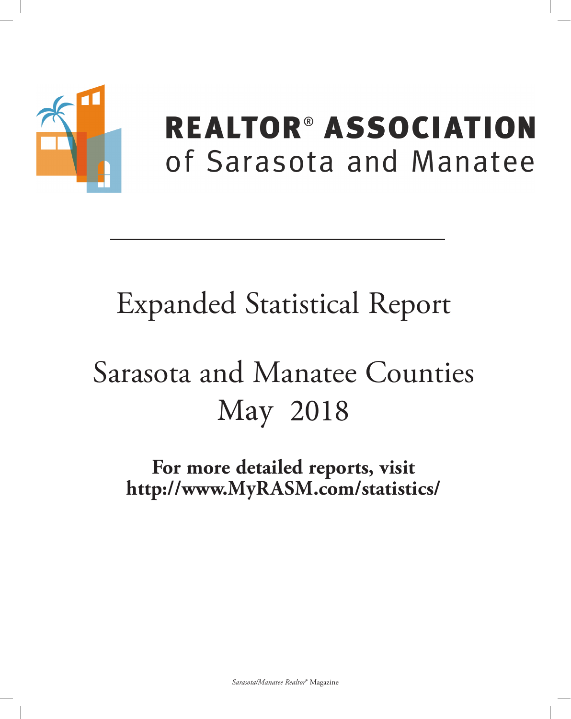

## **REALTOR® ASSOCIATION** of Sarasota and Manatee

## **Expanded Statistical Report**

# Sarasota and Manatee Counties May 2018

For more detailed reports, visit http://www.MyRASM.com/statistics/

Sarasota/Manatee Realtor® Magazine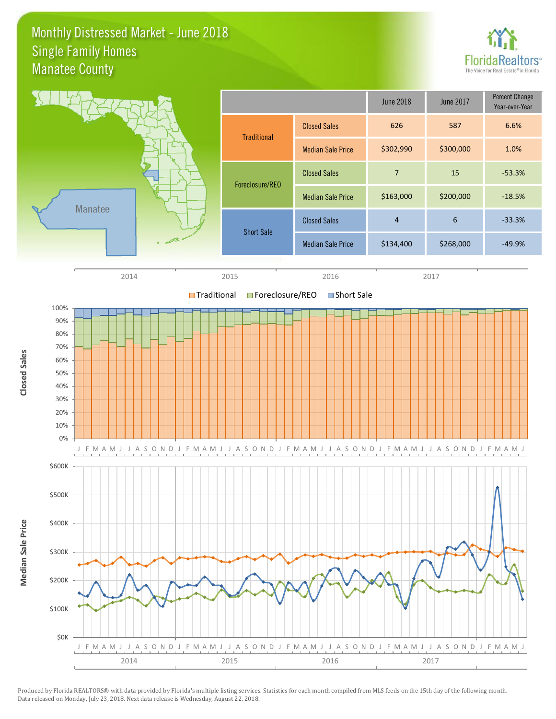### Monthly Distressed Market - June 2018 Manatee County Single Family Homes



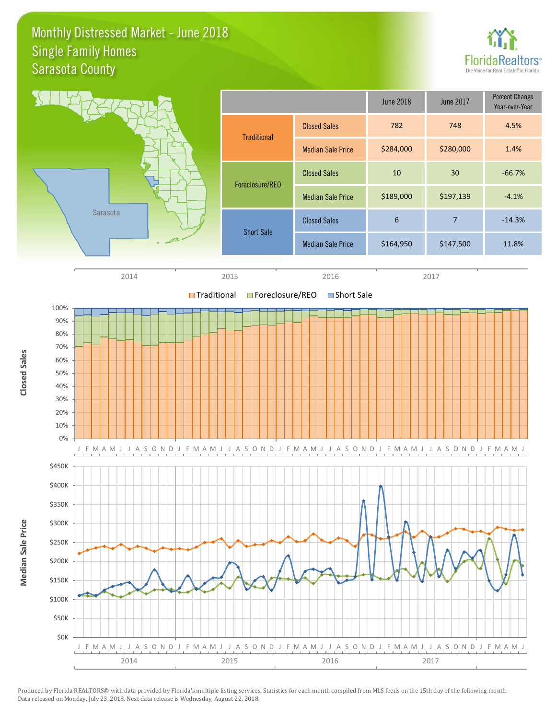### Monthly Distressed Market - June 2018 Sarasota County Single Family Homes



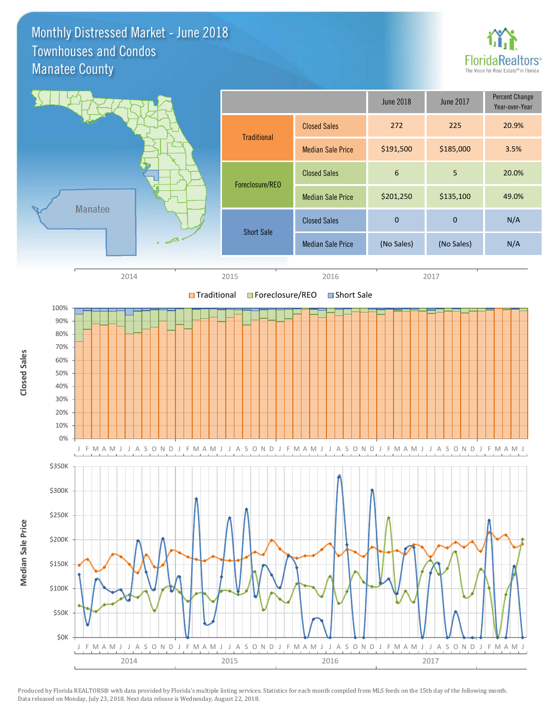Monthly Distressed Market - June 2018 Manatee County Townhouses and Condos